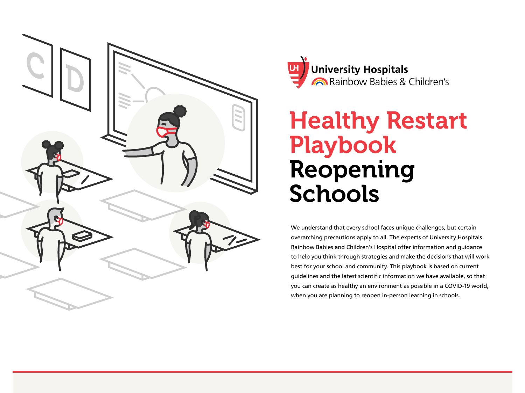



# Healthy Restart Playbook Reopening Schools

We understand that every school faces unique challenges, but certain overarching precautions apply to all. The experts of University Hospitals Rainbow Babies and Children's Hospital offer information and guidance to help you think through strategies and make the decisions that will work best for your school and community. This playbook is based on current guidelines and the latest scientific information we have available, so that you can create as healthy an environment as possible in a COVID-19 world, when you are planning to reopen in-person learning in schools.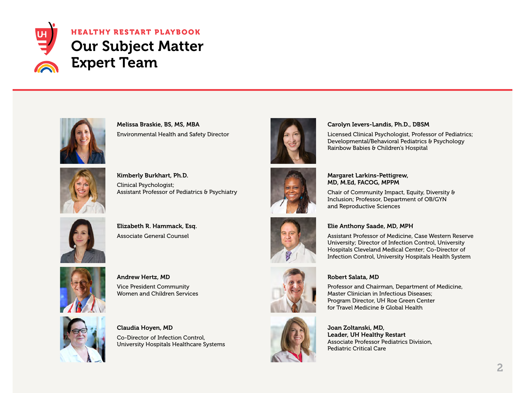

# HEALTHY RESTART PLAYBOOK Our Subject Matter Expert Team



Melissa Braskie, BS, MS, MBA Environmental Health and Safety Director



Kimberly Burkhart, Ph.D. Clinical Psychologist; Assistant Professor of Pediatrics & Psychiatry





Licensed Clinical Psychologist, Professor of Pediatrics; Developmental/Behavioral Pediatrics & Psychology Rainbow Babies & Children's Hospital



## Margaret Larkins-Pettigrew, MD, M.Ed, FACOG, MPPM

Chair of Community Impact, Equity, Diversity & Inclusion; Professor, Department of OB/GYN and Reproductive Sciences

## Elie Anthony Saade, MD, MPH

Assistant Professor of Medicine, Case Western Reserve University; Director of Infection Control, University Hospitals Cleveland Medical Center; Co-Director of Infection Control, University Hospitals Health System



### Robert Salata, MD

Professor and Chairman, Department of Medicine, Master Clinician in Infectious Diseases; Program Director, UH Roe Green Center for Travel Medicine & Global Health

### Joan Zoltanski, MD, Leader, UH Healthy Restart Associate Professor Pediatrics Division, Pediatric Critical Care



Elizabeth R. Hammack, Esq. Associate General Counsel



Andrew Hertz, MD Vice President Community Women and Children Services



Claudia Hoyen, MD Co-Director of Infection Control, University Hospitals Healthcare Systems





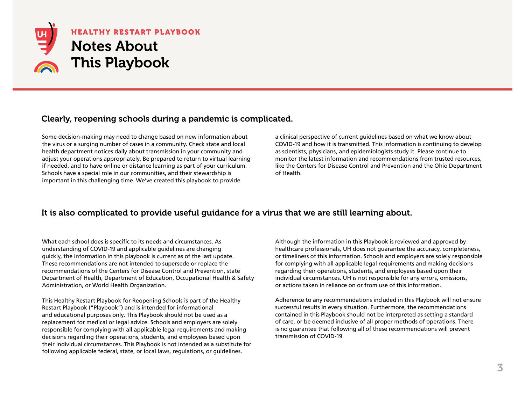

# Clearly, reopening schools during a pandemic is complicated.

Some decision-making may need to change based on new information about the virus or a surging number of cases in a community. Check state and local health department notices daily about transmission in your community and adjust your operations appropriately. Be prepared to return to virtual learning if needed, and to have online or distance learning as part of your curriculum. Schools have a special role in our communities, and their stewardship is important in this challenging time. We've created this playbook to provide

a clinical perspective of current guidelines based on what we know about COVID-19 and how it is transmitted. This information is continuing to develop as scientists, physicians, and epidemiologists study it. Please continue to monitor the latest information and recommendations from trusted resources, like the Centers for Disease Control and Prevention and the Ohio Department of Health.

# It is also complicated to provide useful guidance for a virus that we are still learning about.

What each school does is specific to its needs and circumstances. As understanding of COVID-19 and applicable guidelines are changing quickly, the information in this playbook is current as of the last update. These recommendations are not intended to supersede or replace the recommendations of the Centers for Disease Control and Prevention, state Department of Health, Department of Education, Occupational Health & Safety Administration, or World Health Organization.

This Healthy Restart Playbook for Reopening Schools is part of the Healthy Restart Playbook ("Playbook") and is intended for informational and educational purposes only. This Playbook should not be used as a replacement for medical or legal advice. Schools and employers are solely responsible for complying with all applicable legal requirements and making decisions regarding their operations, students, and employees based upon their individual circumstances. This Playbook is not intended as a substitute for following applicable federal, state, or local laws, regulations, or guidelines.

Although the information in this Playbook is reviewed and approved by healthcare professionals, UH does not guarantee the accuracy, completeness, or timeliness of this information. Schools and employers are solely responsible for complying with all applicable legal requirements and making decisions regarding their operations, students, and employees based upon their individual circumstances. UH is not responsible for any errors, omissions, or actions taken in reliance on or from use of this information.

Adherence to any recommendations included in this Playbook will not ensure successful results in every situation. Furthermore, the recommendations contained in this Playbook should not be interpreted as setting a standard of care, or be deemed inclusive of all proper methods of operations. There is no guarantee that following all of these recommendations will prevent transmission of COVID-19.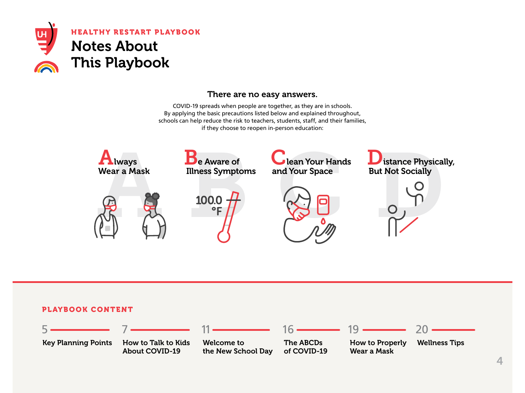

# There are no easy answers.

COVID-19 spreads when people are together, as they are in schools. By applying the basic precautions listed below and explained throughout, schools can help reduce the risk to teachers, students, staff, and their families, if they choose to reopen in-person education:



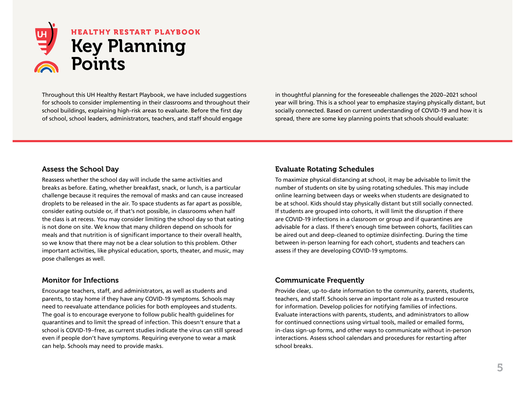<span id="page-4-0"></span>

Throughout this UH Healthy Restart Playbook, we have included suggestions for schools to consider implementing in their classrooms and throughout their school buildings, explaining high-risk areas to evaluate. Before the first day of school, school leaders, administrators, teachers, and staff should engage

in thoughtful planning for the foreseeable challenges the 2020–2021 school year will bring. This is a school year to emphasize staying physically distant, but socially connected. Based on current understanding of COVID-19 and how it is spread, there are some key planning points that schools should evaluate:

# Assess the School Day

Reassess whether the school day will include the same activities and breaks as before. Eating, whether breakfast, snack, or lunch, is a particular challenge because it requires the removal of masks and can cause increased droplets to be released in the air. To space students as far apart as possible, consider eating outside or, if that's not possible, in classrooms when half the class is at recess. You may consider limiting the school day so that eating is not done on site. We know that many children depend on schools for meals and that nutrition is of significant importance to their overall health, so we know that there may not be a clear solution to this problem. Other important activities, like physical education, sports, theater, and music, may pose challenges as well.

# Monitor for Infections

Encourage teachers, staff, and administrators, as well as students and parents, to stay home if they have any COVID-19 symptoms. Schools may need to reevaluate attendance policies for both employees and students. The goal is to encourage everyone to follow public health guidelines for quarantines and to limit the spread of infection. This doesn't ensure that a school is COVID-19–free, as current studies indicate the virus can still spread even if people don't have symptoms. Requiring everyone to wear a mask can help. Schools may need to provide masks.

## Evaluate Rotating Schedules

To maximize physical distancing at school, it may be advisable to limit the number of students on site by using rotating schedules. This may include online learning between days or weeks when students are designated to be at school. Kids should stay physically distant but still socially connected. If students are grouped into cohorts, it will limit the disruption if there are COVID-19 infections in a classroom or group and if quarantines are advisable for a class. If there's enough time between cohorts, facilities can be aired out and deep-cleaned to optimize disinfecting. During the time between in-person learning for each cohort, students and teachers can assess if they are developing COVID-19 symptoms.

# Communicate Frequently

Provide clear, up-to-date information to the community, parents, students, teachers, and staff. Schools serve an important role as a trusted resource for information. Develop policies for notifying families of infections. Evaluate interactions with parents, students, and administrators to allow for continued connections using virtual tools, mailed or emailed forms, in-class sign-up forms, and other ways to communicate without in-person interactions. Assess school calendars and procedures for restarting after school breaks.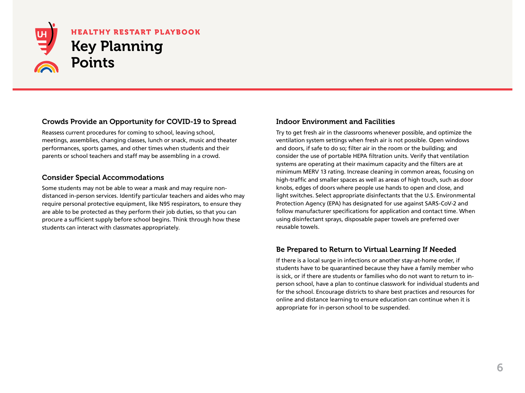

# Crowds Provide an Opportunity for COVID-19 to Spread

Reassess current procedures for coming to school, leaving school, meetings, assemblies, changing classes, lunch or snack, music and theater performances, sports games, and other times when students and their parents or school teachers and staff may be assembling in a crowd.

# Consider Special Accommodations

Some students may not be able to wear a mask and may require nondistanced in-person services. Identify particular teachers and aides who may require personal protective equipment, like N95 respirators, to ensure they are able to be protected as they perform their job duties, so that you can procure a sufficient supply before school begins. Think through how these students can interact with classmates appropriately.

# Indoor Environment and Facilities

Try to get fresh air in the classrooms whenever possible, and optimize the ventilation system settings when fresh air is not possible. Open windows and doors, if safe to do so; filter air in the room or the building; and consider the use of portable HEPA filtration units. Verify that ventilation systems are operating at their maximum capacity and the filters are at minimum MERV 13 rating. Increase cleaning in common areas, focusing on high-traffic and smaller spaces as well as areas of high touch, such as door knobs, edges of doors where people use hands to open and close, and light switches. Select appropriate disinfectants that the U.S. Environmental Protection Agency (EPA) has designated for use against SARS-CoV-2 and follow manufacturer specifications for application and contact time. When using disinfectant sprays, disposable paper towels are preferred over reusable towels.

# Be Prepared to Return to Virtual Learning If Needed

If there is a local surge in infections or another stay-at-home order, if students have to be quarantined because they have a family member who is sick, or if there are students or families who do not want to return to inperson school, have a plan to continue classwork for individual students and for the school. Encourage districts to share best practices and resources for online and distance learning to ensure education can continue when it is appropriate for in-person school to be suspended.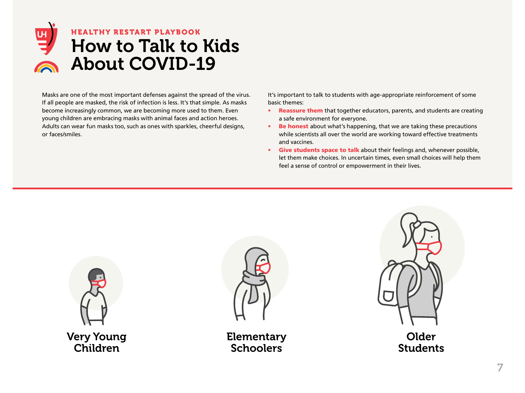<span id="page-6-0"></span>

Masks are one of the most important defenses against the spread of the virus. If all people are masked, the risk of infection is less. It's that simple. As masks become increasingly common, we are becoming more used to them. Even young children are embracing masks with animal faces and action heroes. Adults can wear fun masks too, such as ones with sparkles, cheerful designs, or faces/smiles.

It's important to talk to students with age-appropriate reinforcement of some basic themes:

- **• Reassure them** that together educators, parents, and students are creating a safe environment for everyone.
- **• Be honest** about what's happening, that we are taking these precautions while scientists all over the world are working toward effective treatments and vaccines.
- **• Give students space to talk** about their feelings and, whenever possible, let them make choices. In uncertain times, even small choices will help them feel a sense of control or empowerment in their lives.



Very Young Children



Elementary **Schoolers** 



**Older** Students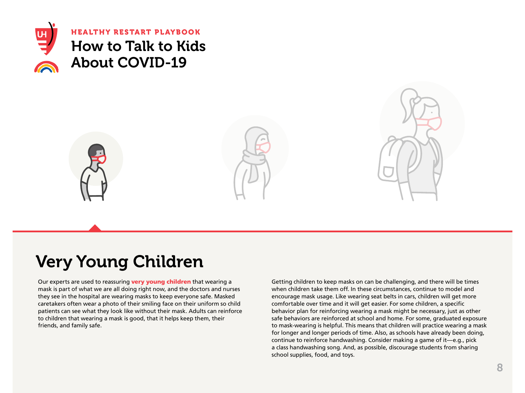





# Very Young Children

Our experts are used to reassuring **very young children** that wearing a mask is part of what we are all doing right now, and the doctors and nurses they see in the hospital are wearing masks to keep everyone safe. Masked caretakers often wear a photo of their smiling face on their uniform so child patients can see what they look like without their mask. Adults can reinforce to children that wearing a mask is good, that it helps keep them, their friends, and family safe.

Getting children to keep masks on can be challenging, and there will be times when children take them off. In these circumstances, continue to model and encourage mask usage. Like wearing seat belts in cars, children will get more comfortable over time and it will get easier. For some children, a specific behavior plan for reinforcing wearing a mask might be necessary, just as other safe behaviors are reinforced at school and home. For some, graduated exposure to mask-wearing is helpful. This means that children will practice wearing a mask for longer and longer periods of time. Also, as schools have already been doing, continue to reinforce handwashing. Consider making a game of it—e.g., pick a class handwashing song. And, as possible, discourage students from sharing school supplies, food, and toys.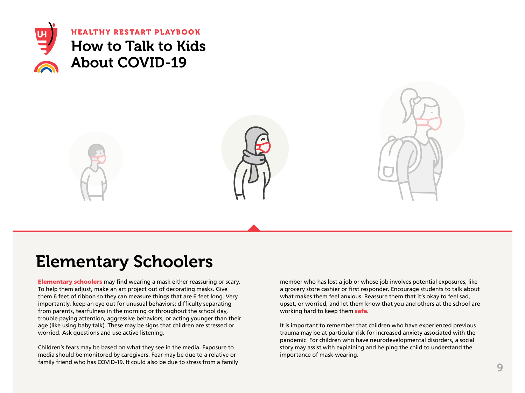





# Elementary Schoolers

**Elementary schoolers** may find wearing a mask either reassuring or scary. To help them adjust, make an art project out of decorating masks. Give them 6 feet of ribbon so they can measure things that are 6 feet long. Very importantly, keep an eye out for unusual behaviors: difficulty separating from parents, tearfulness in the morning or throughout the school day, trouble paying attention, aggressive behaviors, or acting younger than their age (like using baby talk). These may be signs that children are stressed or worried. Ask questions and use active listening.

Children's fears may be based on what they see in the media. Exposure to media should be monitored by caregivers. Fear may be due to a relative or family friend who has COVID-19. It could also be due to stress from a family member who has lost a job or whose job involves potential exposures, like a grocery store cashier or first responder. Encourage students to talk about what makes them feel anxious. Reassure them that it's okay to feel sad, upset, or worried, and let them know that you and others at the school are working hard to keep them **safe**.

It is important to remember that children who have experienced previous trauma may be at particular risk for increased anxiety associated with the pandemic. For children who have neurodevelopmental disorders, a social story may assist with explaining and helping the child to understand the importance of mask-wearing.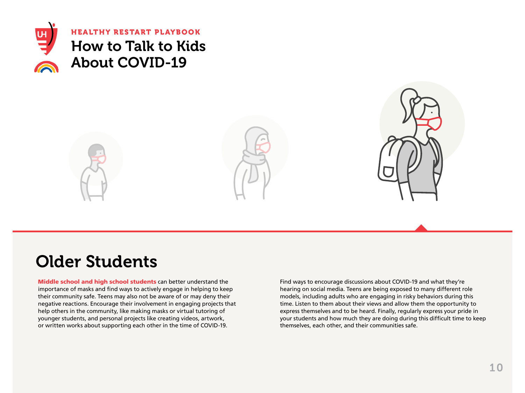





# Older Students

**Middle school and high school students** can better understand the importance of masks and find ways to actively engage in helping to keep their community safe. Teens may also not be aware of or may deny their negative reactions. Encourage their involvement in engaging projects that help others in the community, like making masks or virtual tutoring of younger students, and personal projects like creating videos, artwork, or written works about supporting each other in the time of COVID-19.

Find ways to encourage discussions about COVID-19 and what they're hearing on social media. Teens are being exposed to many different role models, including adults who are engaging in risky behaviors during this time. Listen to them about their views and allow them the opportunity to express themselves and to be heard. Finally, regularly express your pride in your students and how much they are doing during this difficult time to keep themselves, each other, and their communities safe.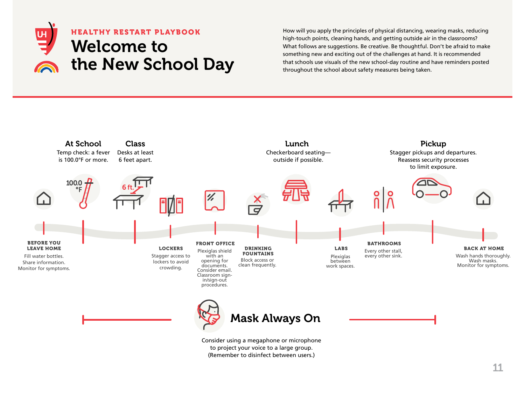<span id="page-10-0"></span>

How will you apply the principles of physical distancing, wearing masks, reducing high-touch points, cleaning hands, and getting outside air in the classrooms? What follows are suggestions. Be creative. Be thoughtful. Don't be afraid to make something new and exciting out of the challenges at hand. It is recommended that schools use visuals of the new school-day routine and have reminders posted throughout the school about safety measures being taken.



to project your voice to a large group. (Remember to disinfect between users.)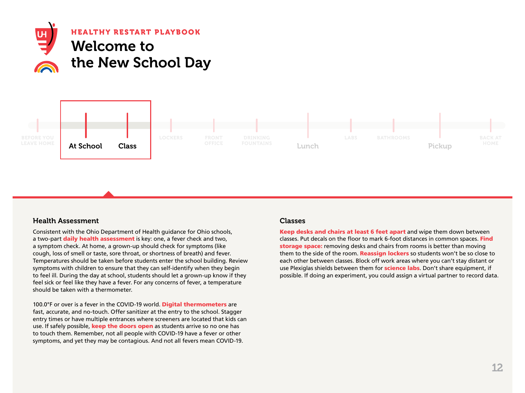



# Health Assessment Classes

Consistent with the Ohio Department of Health guidance for Ohio schools, a two-part **daily health assessment** is key: one, a fever check and two, a symptom check. At home, a grown-up should check for symptoms (like cough, loss of smell or taste, sore throat, or shortness of breath) and fever. Temperatures should be taken before students enter the school building. Review symptoms with children to ensure that they can self-identify when they begin to feel ill. During the day at school, students should let a grown-up know if they feel sick or feel like they have a fever. For any concerns of fever, a temperature should be taken with a thermometer.

100.0°F or over is a fever in the COVID-19 world. **Digital thermometers** are fast, accurate, and no-touch. Offer sanitizer at the entry to the school. Stagger entry times or have multiple entrances where screeners are located that kids can use. If safely possible, **keep the doors open** as students arrive so no one has to touch them. Remember, not all people with COVID-19 have a fever or other symptoms, and yet they may be contagious. And not all fevers mean COVID-19.

**Keep desks and chairs at least 6 feet apart** and wipe them down between classes. Put decals on the floor to mark 6-foot distances in common spaces. **Find storage space:** removing desks and chairs from rooms is better than moving them to the side of the room. **Reassign lockers** so students won't be so close to each other between classes. Block off work areas where you can't stay distant or use Plexiglas shields between them for **science labs**. Don't share equipment, if possible. If doing an experiment, you could assign a virtual partner to record data.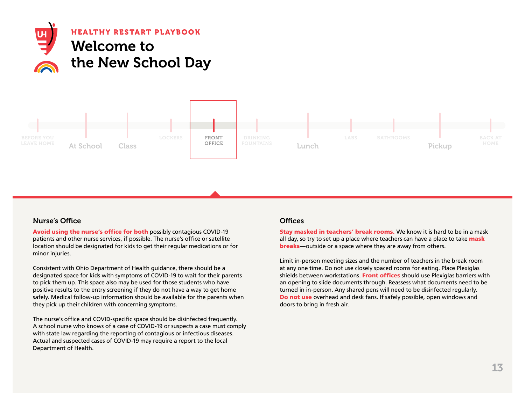



# Nurse's Office **Office Office Office Offices**

**Avoid using the nurse's office for both** possibly contagious COVID-19 patients and other nurse services, if possible. The nurse's office or satellite location should be designated for kids to get their regular medications or for minor injuries.

Consistent with Ohio Department of Health guidance, there should be a designated space for kids with symptoms of COVID-19 to wait for their parents to pick them up. This space also may be used for those students who have positive results to the entry screening if they do not have a way to get home safely. Medical follow-up information should be available for the parents when they pick up their children with concerning symptoms.

The nurse's office and COVID-specific space should be disinfected frequently. A school nurse who knows of a case of COVID-19 or suspects a case must comply with state law regarding the reporting of contagious or infectious diseases. Actual and suspected cases of COVID-19 may require a report to the local Department of Health.

**Stay masked in teachers' break rooms.** We know it is hard to be in a mask all day, so try to set up a place where teachers can have a place to take **mask breaks**—outside or a space where they are away from others.

Limit in-person meeting sizes and the number of teachers in the break room at any one time. Do not use closely spaced rooms for eating. Place Plexiglas shields between workstations. **Front offices** should use Plexiglas barriers with an opening to slide documents through. Reassess what documents need to be turned in in-person. Any shared pens will need to be disinfected regularly. **Do not use** overhead and desk fans. If safely possible, open windows and doors to bring in fresh air.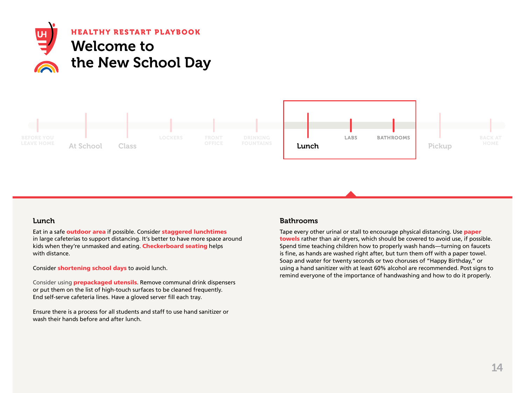



Eat in a safe **outdoor area** if possible. Consider **staggered lunchtimes** in large cafeterias to support distancing. It's better to have more space around kids when they're unmasked and eating. **Checkerboard seating** helps with distance.

Consider **shortening school days** to avoid lunch.

Consider using **prepackaged utensils**. Remove communal drink dispensers or put them on the list of high-touch surfaces to be cleaned frequently. End self-serve cafeteria lines. Have a gloved server fill each tray.

Ensure there is a process for all students and staff to use hand sanitizer or wash their hands before and after lunch.

# Lunch Bathrooms

Tape every other urinal or stall to encourage physical distancing. Use **paper towels** rather than air dryers, which should be covered to avoid use, if possible. Spend time teaching children how to properly wash hands—turning on faucets is fine, as hands are washed right after, but turn them off with a paper towel. Soap and water for twenty seconds or two choruses of "Happy Birthday," or using a hand sanitizer with at least 60% alcohol are recommended. Post signs to remind everyone of the importance of handwashing and how to do it properly.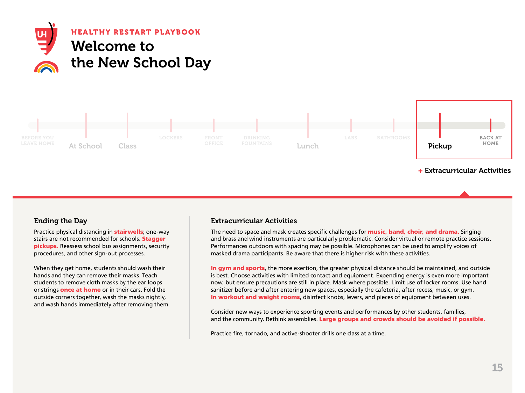



Practice physical distancing in **stairwells**; one-way stairs are not recommended for schools. **Stagger pickups.** Reassess school bus assignments, security procedures, and other sign-out processes.

When they get home, students should wash their hands and they can remove their masks. Teach students to remove cloth masks by the ear loops or strings **once at home** or in their cars. Fold the outside corners together, wash the masks nightly, and wash hands immediately after removing them.

# Ending the Day **Extracurricular Activities**

The need to space and mask creates specific challenges for **music, band, choir, and drama.** Singing and brass and wind instruments are particularly problematic. Consider virtual or remote practice sessions. Performances outdoors with spacing may be possible. Microphones can be used to amplify voices of masked drama participants. Be aware that there is higher risk with these activities.

**In gym and sports**, the more exertion, the greater physical distance should be maintained, and outside is best. Choose activities with limited contact and equipment. Expending energy is even more important now, but ensure precautions are still in place. Mask where possible. Limit use of locker rooms. Use hand sanitizer before and after entering new spaces, especially the cafeteria, after recess, music, or gym. **In workout and weight rooms**, disinfect knobs, levers, and pieces of equipment between uses.

Consider new ways to experience sporting events and performances by other students, families, and the community. Rethink assemblies. **Large groups and crowds should be avoided if possible.**

Practice fire, tornado, and active-shooter drills one class at a time.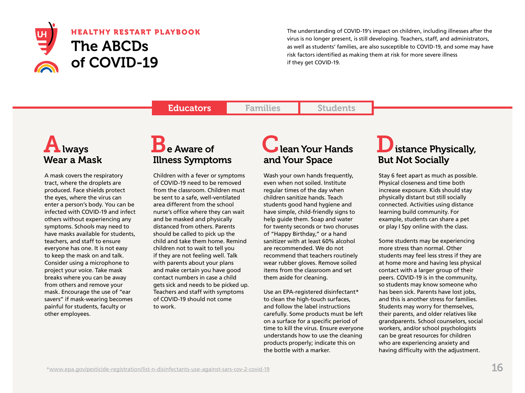<span id="page-15-0"></span>

The understanding of COVID-19's impact on children, including illnesses after the virus is no longer present, is still developing. Teachers, staff, and administrators, as well as students' families, are also susceptible to COVID-19, and some may have risk factors identified as making them at risk for more severe illness if they get COVID-19.

Educators Families Students



A mask covers the respiratory tract, where the droplets are produced. Face shields protect the eyes, where the virus can enter a person's body. You can be infected with COVID-19 and infect others without experiencing any symptoms. Schools may need to have masks available for students, teachers, and staff to ensure everyone has one. It is not easy to keep the mask on and talk. Consider using a microphone to project your voice. Take mask breaks where you can be away from others and remove your mask. Encourage the use of "ear savers" if mask-wearing becomes painful for students, faculty or other employees.

# **B**e Aware of Illness Symptoms

Children with a fever or symptoms of COVID-19 need to be removed from the classroom. Children must be sent to a safe, well-ventilated area different from the school nurse's office where they can wait and be masked and physically distanced from others. Parents should be called to pick up the child and take them home. Remind children not to wait to tell you if they are not feeling well. Talk with parents about your plans and make certain you have good contact numbers in case a child gets sick and needs to be picked up. Teachers and staff with symptoms of COVID-19 should not come to work.

# Clean Your Hands and Your Space

Wash your own hands frequently, even when not soiled. Institute regular times of the day when children sanitize hands. Teach students good hand hygiene and have simple, child-friendly signs to help guide them. Soap and water for twenty seconds or two choruses of "Happy Birthday," or a hand sanitizer with at least 60% alcohol are recommended. We do not recommend that teachers routinely wear rubber gloves. Remove soiled items from the classroom and set them aside for cleaning.

Use an EPA-registered disinfectant\* to clean the high-touch surfaces, and follow the label instructions carefully. Some products must be left on a surface for a specific period of time to kill the virus. Ensure everyone understands how to use the cleaning products properly; indicate this on the bottle with a marker.

# **D** istance Physically, But Not Socially

Stay 6 feet apart as much as possible. Physical closeness and time both increase exposure. Kids should stay physically distant but still socially connected. Activities using distance learning build community. For example, students can share a pet or play I Spy online with the class.

Some students may be experiencing more stress than normal. Other students may feel less stress if they are at home more and having less physical contact with a larger group of their peers. COVID-19 is in the community, so students may know someone who has been sick. Parents have lost jobs, and this is another stress for families. Students may worry for themselves, their parents, and older relatives like grandparents. School counselors, social workers, and/or school psychologists can be great resources for children who are experiencing anxiety and having difficulty with the adjustment.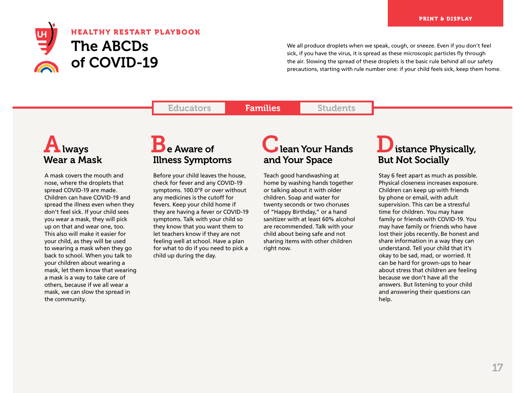

We all produce droplets when we speak, cough, or sneeze. Even if you don't feel sick, if you have the virus, it is spread as these microscopic particles fly through the air. Slowing the spread of these droplets is the basic rule behind all our safety precautions, starting with rule number one: if your child feels sick, keep them home.

Educators **Families** Students



A mask covers the mouth and nose, where the droplets that spread COVID-19 are made. Children can have COVID-19 and spread the illness even when they don't feel sick. If your child sees you wear a mask, they will pick up on that and wear one, too. This also will make it easier for your child, as they will be used to wearing a mask when they go back to school. When you talk to your children about wearing a mask, let them know that wearing a mask is a way to take care of others, because if we all wear a mask, we can slow the spread in the community.

# **B**e Aware of Illness Symptoms

Before your child leaves the house, check for fever and any COVID-19 symptoms. 100.0°F or over without any medicines is the cutoff for fevers. Keep your child home if they are having a fever or COVID-19 symptoms. Talk with your child so they know that you want them to let teachers know if they are not feeling well at school. Have a plan for what to do if you need to pick a child up during the day.

# Lean Your Hands and Your Space

Teach good handwashing at home by washing hands together or talking about it with older children. Soap and water for twenty seconds or two choruses of "Happy Birthday," or a hand sanitizer with at least 60% alcohol are recommended. Talk with your child about being safe and not sharing items with other children right now.

# **D** istance Physically, But Not Socially

Stay 6 feet apart as much as possible. Physical closeness increases exposure. Children can keep up with friends by phone or email, with adult supervision. This can be a stressful time for children. You may have family or friends with COVID-19. You may have family or friends who have lost their jobs recently. Be honest and share information in a way they can understand. Tell your child that it's okay to be sad, mad, or worried. It can be hard for grown-ups to hear about stress that children are feeling because we don't have all the answers. But listening to your child and answering their questions can help.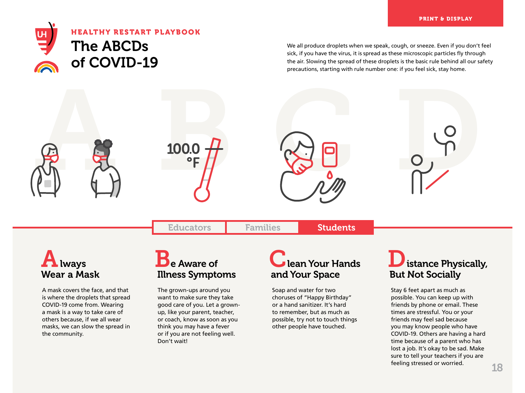

We all produce droplets when we speak, cough, or sneeze. Even if you don't feel sick, if you have the virus, it is spread as these microscopic particles fly through the air. Slowing the spread of these droplets is the basic rule behind all our safety precautions, starting with rule number one: if you feel sick, stay home.



A mask covers the face, and that is where the droplets that spread COVID-19 come from. Wearing a mask is a way to take care of others because, if we all wear masks, we can slow the spread in the community.

# Illness Symptoms

The grown-ups around you want to make sure they take good care of you. Let a grownup, like your parent, teacher, or coach, know as soon as you think you may have a fever or if you are not feeling well. Don't wait!

# and Your Space

Soap and water for two choruses of "Happy Birthday" or a hand sanitizer. It's hard to remember, but as much as possible, try not to touch things other people have touched.

# Istance Physically, But Not Socially

Stay 6 feet apart as much as possible. You can keep up with friends by phone or email. These times are stressful. You or your friends may feel sad because you may know people who have COVID-19. Others are having a hard time because of a parent who has lost a job. It's okay to be sad. Make sure to tell your teachers if you are feeling stressed or worried.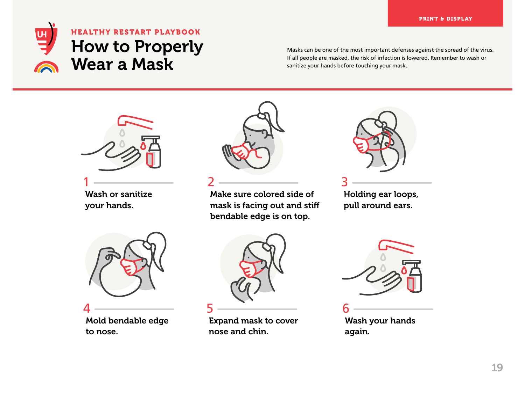<span id="page-18-0"></span>

Masks can be one of the most important defenses against the spread of the virus. If all people are masked, the risk of infection is lowered. Remember to wash or sanitize your hands before touching your mask.



Wash or sanitize your hands.  $1 \longrightarrow 2$ 



Make sure colored side of mask is facing out and stiff bendable edge is on top.



Holding ear loops, pull around ears.



Mold bendable edge to nose.



Expand mask to cover nose and chin.



Wash your hands again.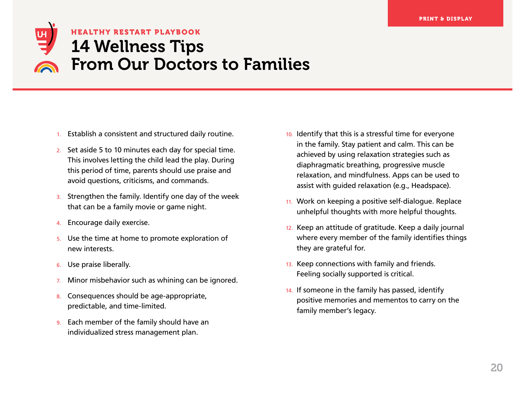# <span id="page-19-0"></span>HEALTHY RESTART PLAYBOOK 14 Wellness Tips From Our Doctors to Families

- 1. Establish a consistent and structured daily routine.
- 2. Set aside 5 to 10 minutes each day for special time. This involves letting the child lead the play. During this period of time, parents should use praise and avoid questions, criticisms, and commands.
- 3. Strengthen the family. Identify one day of the week that can be a family movie or game night.
- 4. Encourage daily exercise.
- 5. Use the time at home to promote exploration of new interests.
- 6. Use praise liberally.
- 7. Minor misbehavior such as whining can be ignored.
- 8. Consequences should be age-appropriate, predictable, and time-limited.
- 9. Each member of the family should have an individualized stress management plan.
- 10. Identify that this is a stressful time for everyone in the family. Stay patient and calm. This can be achieved by using relaxation strategies such as diaphragmatic breathing, progressive muscle relaxation, and mindfulness. Apps can be used to assist with guided relaxation (e.g., Headspace).
- 11. Work on keeping a positive self-dialogue. Replace unhelpful thoughts with more helpful thoughts.
- 12. Keep an attitude of gratitude. Keep a daily journal where every member of the family identifies things they are grateful for.
- 13. Keep connections with family and friends. Feeling socially supported is critical.
- 14. If someone in the family has passed, identify positive memories and mementos to carry on the family member's legacy.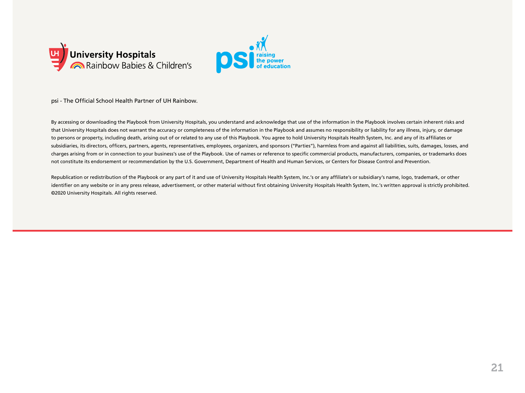



### psi - The Official School Health Partner of UH Rainbow.

By accessing or downloading the Playbook from University Hospitals, you understand and acknowledge that use of the information in the Playbook involves certain inherent risks and that University Hospitals does not warrant the accuracy or completeness of the information in the Playbook and assumes no responsibility or liability for any illness, injury, or damage to persons or property, including death, arising out of or related to any use of this Playbook. You agree to hold University Hospitals Health System, Inc. and any of its affiliates or subsidiaries, its directors, officers, partners, agents, representatives, employees, organizers, and sponsors ("Parties"), harmless from and against all liabilities, suits, damages, losses, and charges arising from or in connection to your business's use of the Playbook. Use of names or reference to specific commercial products, manufacturers, companies, or trademarks does not constitute its endorsement or recommendation by the U.S. Government, Department of Health and Human Services, or Centers for Disease Control and Prevention.

Republication or redistribution of the Playbook or any part of it and use of University Hospitals Health System, Inc.'s or any affiliate's or subsidiary's name, logo, trademark, or other identifier on any website or in any press release, advertisement, or other material without first obtaining University Hospitals Health System, Inc.'s written approval is strictly prohibited. ©2020 University Hospitals. All rights reserved.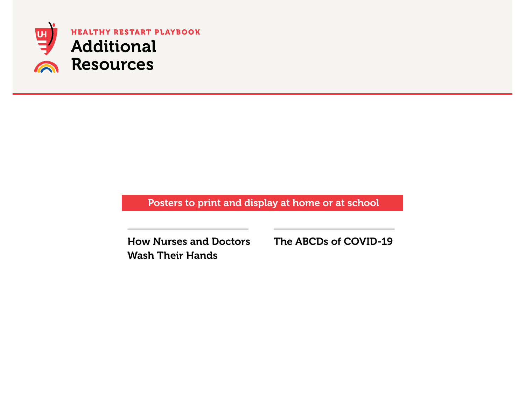

Posters to print and display at home or at school

How Nurses and Doctors Wash Their Hands

The ABCDs of COVID-19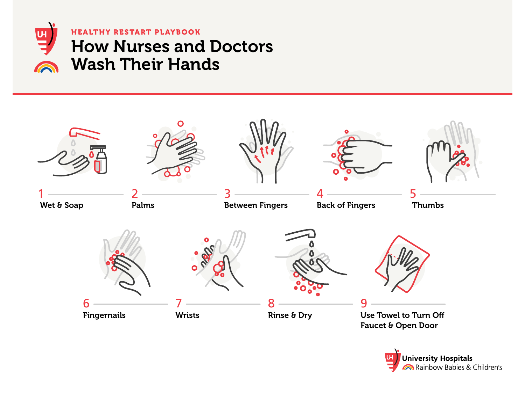



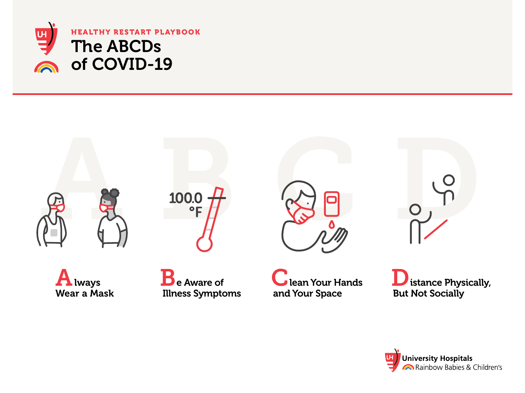





e Aware of Ð **Illness Symptoms** 

lean Your Hands and Your Space

istance Physically, **But Not Socially** 

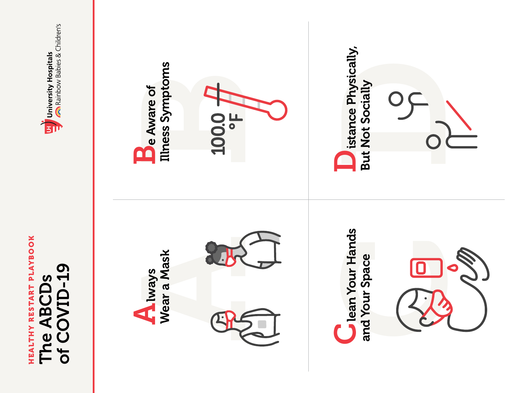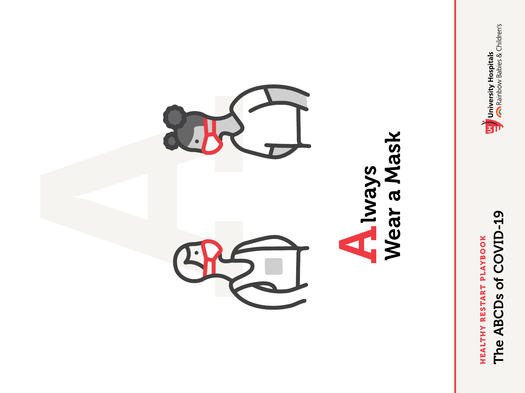

# The ABCDs of COVID-19

HEALTHY RESTART PLAYBOOK

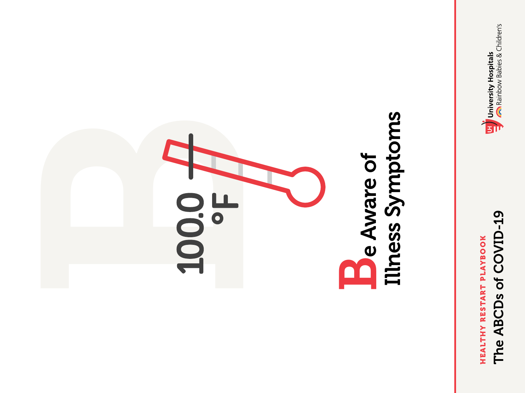

# The ABCDs of COVID-19 The ABCDs of COVID-19 **HEALTHY RESTART PLAYBOOK** HEALTHY RESTART PLAYBOOK

Illness Symptoms Illness SymptomsBe Aware of 100.0L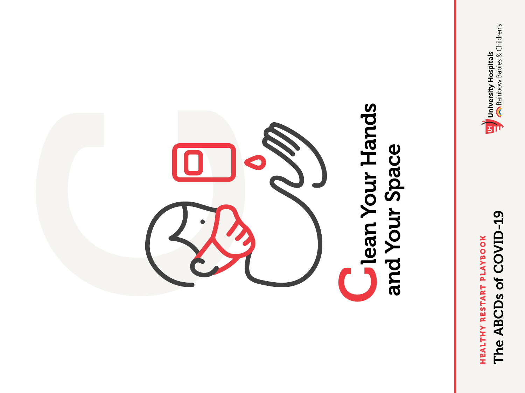

# The ABCDs of COVID-19

**HEALTHY RESTART PLAYBOOK**